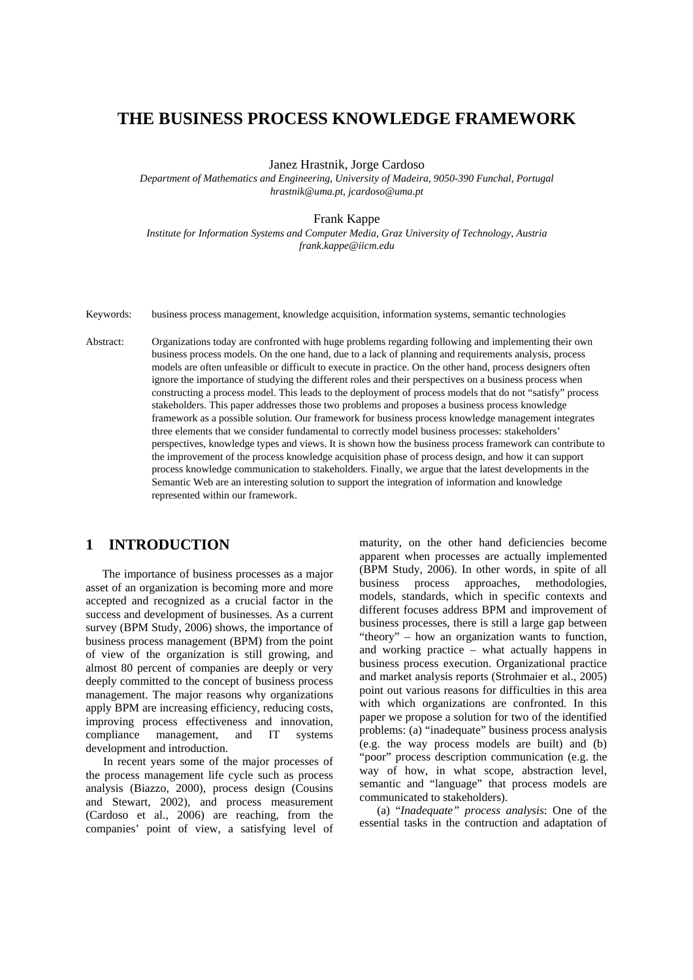# **THE BUSINESS PROCESS KNOWLEDGE FRAMEWORK**

Janez Hrastnik, Jorge Cardoso

*Department of Mathematics and Engineering, University of Madeira, 9050-390 Funchal, Portugal [hrastnik@uma.pt,](mailto:hrastnik@uma.pt) [jcardoso@uma.pt](mailto:jcardoso@uma.pt)*

#### Frank Kappe

*Institute for Information Systems and Computer Media, Graz University of Technology, Austria frank.kappe@iicm.edu* 

Keywords: business process management, knowledge acquisition, information systems, semantic technologies

Abstract: Organizations today are confronted with huge problems regarding following and implementing their own business process models. On the one hand, due to a lack of planning and requirements analysis, process models are often unfeasible or difficult to execute in practice. On the other hand, process designers often ignore the importance of studying the different roles and their perspectives on a business process when constructing a process model. This leads to the deployment of process models that do not "satisfy" process stakeholders. This paper addresses those two problems and proposes a business process knowledge framework as a possible solution. Our framework for business process knowledge management integrates three elements that we consider fundamental to correctly model business processes: stakeholders' perspectives, knowledge types and views. It is shown how the business process framework can contribute to the improvement of the process knowledge acquisition phase of process design, and how it can support process knowledge communication to stakeholders. Finally, we argue that the latest developments in the Semantic Web are an interesting solution to support the integration of information and knowledge represented within our framework.

# **1 INTRODUCTION**

The importance of business processes as a major asset of an organization is becoming more and more accepted and recognized as a crucial factor in the success and development of businesses. As a current survey (BPM Study, 2006) shows, the importance of business process management (BPM) from the point of view of the organization is still growing, and almost 80 percent of companies are deeply or very deeply committed to the concept of business process management. The major reasons why organizations apply BPM are increasing efficiency, reducing costs, improving process effectiveness and innovation, compliance management, and IT systems development and introduction.

In recent years some of the major processes of the process management life cycle such as process analysis (Biazzo, 2000), process design (Cousins and Stewart, 2002), and process measurement (Cardoso et al., 2006) are reaching, from the companies' point of view, a satisfying level of maturity, on the other hand deficiencies become apparent when processes are actually implemented (BPM Study, 2006). In other words, in spite of all business process approaches, methodologies, models, standards, which in specific contexts and different focuses address BPM and improvement of business processes, there is still a large gap between "theory" – how an organization wants to function, and working practice – what actually happens in business process execution. Organizational practice and market analysis reports (Strohmaier et al., 2005) point out various reasons for difficulties in this area with which organizations are confronted. In this paper we propose a solution for two of the identified problems: (a) "inadequate" business process analysis (e.g. the way process models are built) and (b) "poor" process description communication (e.g. the way of how, in what scope, abstraction level, semantic and "language" that process models are communicated to stakeholders).

(a) "*Inadequate" process analysis*: One of the essential tasks in the contruction and adaptation of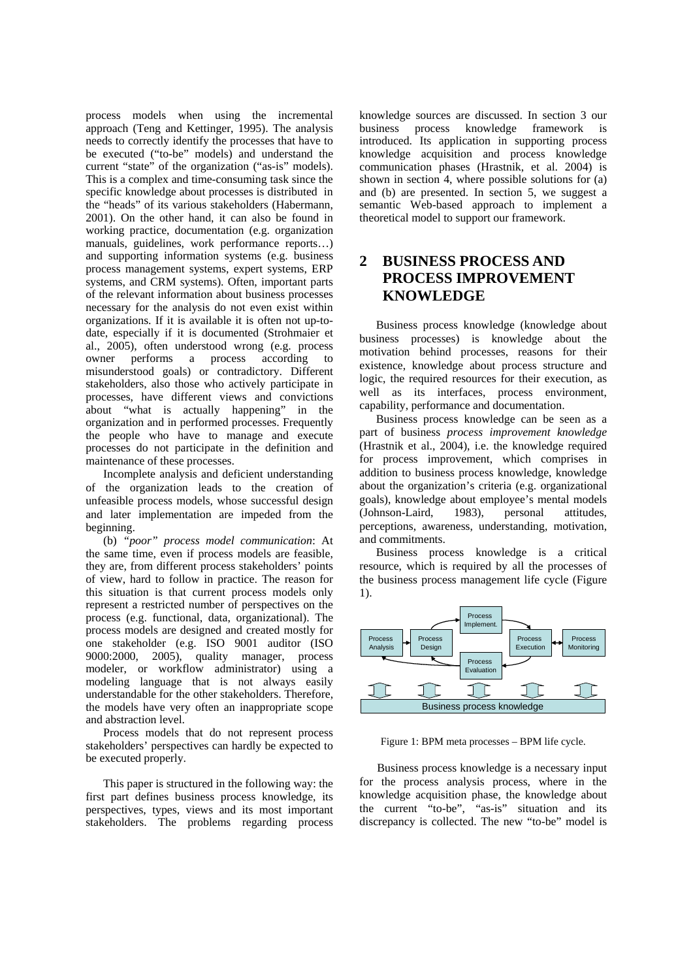process models when using the incremental approach (Teng and Kettinger, 1995). The analysis needs to correctly identify the processes that have to be executed ("to-be" models) and understand the current "state" of the organization ("as-is" models). This is a complex and time-consuming task since the specific knowledge about processes is distributed in the "heads" of its various stakeholders (Habermann, 2001). On the other hand, it can also be found in working practice, documentation (e.g. organization manuals, guidelines, work performance reports…) and supporting information systems (e.g. business process management systems, expert systems, ERP systems, and CRM systems). Often, important parts of the relevant information about business processes necessary for the analysis do not even exist within organizations. If it is available it is often not up-todate, especially if it is documented (Strohmaier et al., 2005), often understood wrong (e.g. process owner performs a process according to misunderstood goals) or contradictory. Different stakeholders, also those who actively participate in processes, have different views and convictions about "what is actually happening" in the organization and in performed processes. Frequently the people who have to manage and execute processes do not participate in the definition and maintenance of these processes.

Incomplete analysis and deficient understanding of the organization leads to the creation of unfeasible process models, whose successful design and later implementation are impeded from the beginning.

(b) *"poor" process model communication*: At the same time, even if process models are feasible, they are, from different process stakeholders' points of view, hard to follow in practice. The reason for this situation is that current process models only represent a restricted number of perspectives on the process (e.g. functional, data, organizational). The process models are designed and created mostly for one stakeholder (e.g. ISO 9001 auditor (ISO 9000:2000, 2005), quality manager, process modeler, or workflow administrator) using a modeling language that is not always easily understandable for the other stakeholders. Therefore, the models have very often an inappropriate scope and abstraction level.

Process models that do not represent process stakeholders' perspectives can hardly be expected to be executed properly.

This paper is structured in the following way: the first part defines business process knowledge, its perspectives, types, views and its most important stakeholders. The problems regarding process knowledge sources are discussed. In section 3 our business process knowledge framework is introduced. Its application in supporting process knowledge acquisition and process knowledge communication phases (Hrastnik, et al. 2004) is shown in section 4, where possible solutions for (a) and (b) are presented. In section 5, we suggest a semantic Web-based approach to implement a theoretical model to support our framework.

# **2 BUSINESS PROCESS AND PROCESS IMPROVEMENT KNOWLEDGE**

Business process knowledge (knowledge about business processes) is knowledge about the motivation behind processes, reasons for their existence, knowledge about process structure and logic, the required resources for their execution, as well as its interfaces, process environment, capability, performance and documentation.

Business process knowledge can be seen as a part of business *process improvement knowledge* (Hrastnik et al., 2004), i.e. the knowledge required for process improvement, which comprises in addition to business process knowledge, knowledge about the organization's criteria (e.g. organizational goals), knowledge about employee's mental models (Johnson-Laird, 1983), personal attitudes, perceptions, awareness, understanding, motivation, and commitments.

Business process knowledge is a critical resource, which is required by all the processes of the business process management life cycle (Figure 1).



Figure 1: BPM meta processes – BPM life cycle.

Business process knowledge is a necessary input for the process analysis process, where in the knowledge acquisition phase, the knowledge about the current "to-be", "as-is" situation and its discrepancy is collected. The new "to-be" model is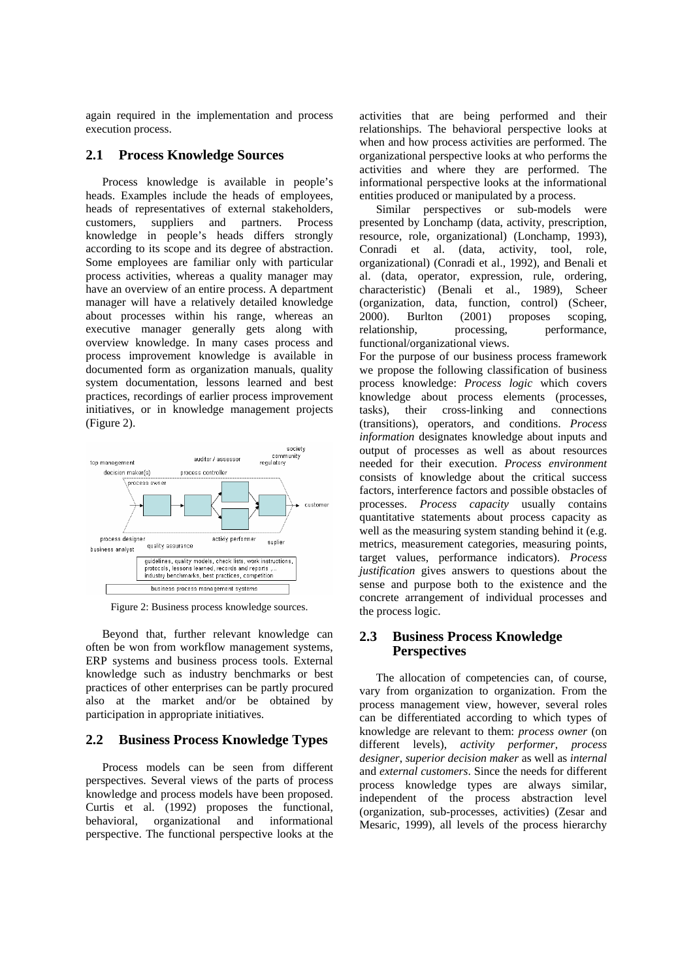again required in the implementation and process execution process.

#### **2.1 Process Knowledge Sources**

Process knowledge is available in people's heads. Examples include the heads of employees, heads of representatives of external stakeholders, customers, suppliers and partners. Process knowledge in people's heads differs strongly according to its scope and its degree of abstraction. Some employees are familiar only with particular process activities, whereas a quality manager may have an overview of an entire process. A department manager will have a relatively detailed knowledge about processes within his range, whereas an executive manager generally gets along with overview knowledge. In many cases process and process improvement knowledge is available in documented form as organization manuals, quality system documentation, lessons learned and best practices, recordings of earlier process improvement initiatives, or in knowledge management projects (Figure 2).



Figure 2: Business process knowledge sources.

Beyond that, further relevant knowledge can often be won from workflow management systems, ERP systems and business process tools. External knowledge such as industry benchmarks or best practices of other enterprises can be partly procured also at the market and/or be obtained by participation in appropriate initiatives.

#### **2.2 Business Process Knowledge Types**

Process models can be seen from different perspectives. Several views of the parts of process knowledge and process models have been proposed. Curtis et al. (1992) proposes the functional, behavioral, organizational and informational perspective. The functional perspective looks at the

activities that are being performed and their relationships. The behavioral perspective looks at when and how process activities are performed. The organizational perspective looks at who performs the activities and where they are performed. The informational perspective looks at the informational entities produced or manipulated by a process.

Similar perspectives or sub-models were presented by Lonchamp (data, activity, prescription, resource, role, organizational) (Lonchamp, 1993), Conradi et al. (data, activity, tool, role, organizational) (Conradi et al., 1992), and Benali et al. (data, operator, expression, rule, ordering, characteristic) (Benali et al., 1989), Scheer (organization, data, function, control) (Scheer, 2000). Burlton (2001) proposes scoping, relationship, processing, performance, functional/organizational views.

For the purpose of our business process framework we propose the following classification of business process knowledge: *Process logic* which covers knowledge about process elements (processes, tasks), their cross-linking and connections (transitions), operators, and conditions. *Process information* designates knowledge about inputs and output of processes as well as about resources needed for their execution. *Process environment*  consists of knowledge about the critical success factors, interference factors and possible obstacles of processes. *Process capacity* usually contains quantitative statements about process capacity as well as the measuring system standing behind it (e.g. metrics, measurement categories, measuring points, target values, performance indicators). *Process justification* gives answers to questions about the sense and purpose both to the existence and the concrete arrangement of individual processes and the process logic.

#### **2.3 Business Process Knowledge Perspectives**

The allocation of competencies can, of course, vary from organization to organization. From the process management view, however, several roles can be differentiated according to which types of knowledge are relevant to them: *process owner* (on different levels), *activity performer*, *process designer*, *superior decision maker* as well as *internal* and *external customers*. Since the needs for different process knowledge types are always similar, independent of the process abstraction level (organization, sub-processes, activities) (Zesar and Mesaric, 1999), all levels of the process hierarchy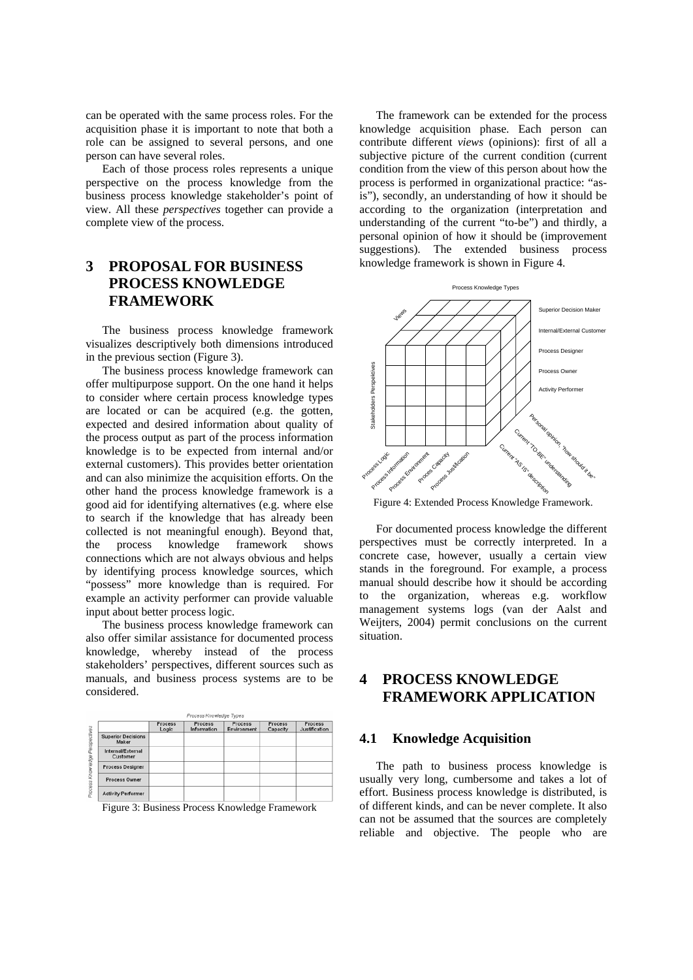can be operated with the same process roles. For the acquisition phase it is important to note that both a role can be assigned to several persons, and one person can have several roles.

Each of those process roles represents a unique perspective on the process knowledge from the business process knowledge stakeholder's point of view. All these *perspectives* together can provide a complete view of the process.

# **3 PROPOSAL FOR BUSINESS PROCESS KNOWLEDGE FRAMEWORK**

The business process knowledge framework visualizes descriptively both dimensions introduced in the previous section (Figure 3).

The business process knowledge framework can offer multipurpose support. On the one hand it helps to consider where certain process knowledge types are located or can be acquired (e.g. the gotten, expected and desired information about quality of the process output as part of the process information knowledge is to be expected from internal and/or external customers). This provides better orientation and can also minimize the acquisition efforts. On the other hand the process knowledge framework is a good aid for identifying alternatives (e.g. where else to search if the knowledge that has already been collected is not meaningful enough). Beyond that, the process knowledge framework shows connections which are not always obvious and helps by identifying process knowledge sources, which "possess" more knowledge than is required. For example an activity performer can provide valuable input about better process logic.

The business process knowledge framework can also offer similar assistance for documented process knowledge, whereby instead of the process stakeholders' perspectives, different sources such as manuals, and business process systems are to be considered.

|                                      | Process<br>Logic | Process<br>Information | Process<br>Environment | Process<br>Capacity | Process<br>Justification |
|--------------------------------------|------------------|------------------------|------------------------|---------------------|--------------------------|
| <b>Superior Decisions</b><br>Maker   |                  |                        |                        |                     |                          |
| <b>Internal/External</b><br>Customer |                  |                        |                        |                     |                          |
| <b>Process Designer</b>              |                  |                        |                        |                     |                          |
| Process Owner                        |                  |                        |                        |                     |                          |
| <b>Activity Performer</b>            |                  |                        |                        |                     |                          |

Figure 3: Business Process Knowledge Framework

The framework can be extended for the process knowledge acquisition phase. Each person can contribute different *views* (opinions): first of all a subjective picture of the current condition (current condition from the view of this person about how the process is performed in organizational practice: "asis"), secondly, an understanding of how it should be according to the organization (interpretation and understanding of the current "to-be") and thirdly, a personal opinion of how it should be (improvement suggestions). The extended business process knowledge framework is shown in Figure 4.



Figure 4: Extended Process Knowledge Framework.

For documented process knowledge the different perspectives must be correctly interpreted. In a concrete case, however, usually a certain view stands in the foreground. For example, a process manual should describe how it should be according to the organization, whereas e.g. workflow management systems logs (van der Aalst and Weijters, 2004) permit conclusions on the current situation.

# **4 PROCESS KNOWLEDGE FRAMEWORK APPLICATION**

### **4.1 Knowledge Acquisition**

The path to business process knowledge is usually very long, cumbersome and takes a lot of effort. Business process knowledge is distributed, is of different kinds, and can be never complete. It also can not be assumed that the sources are completely reliable and objective. The people who are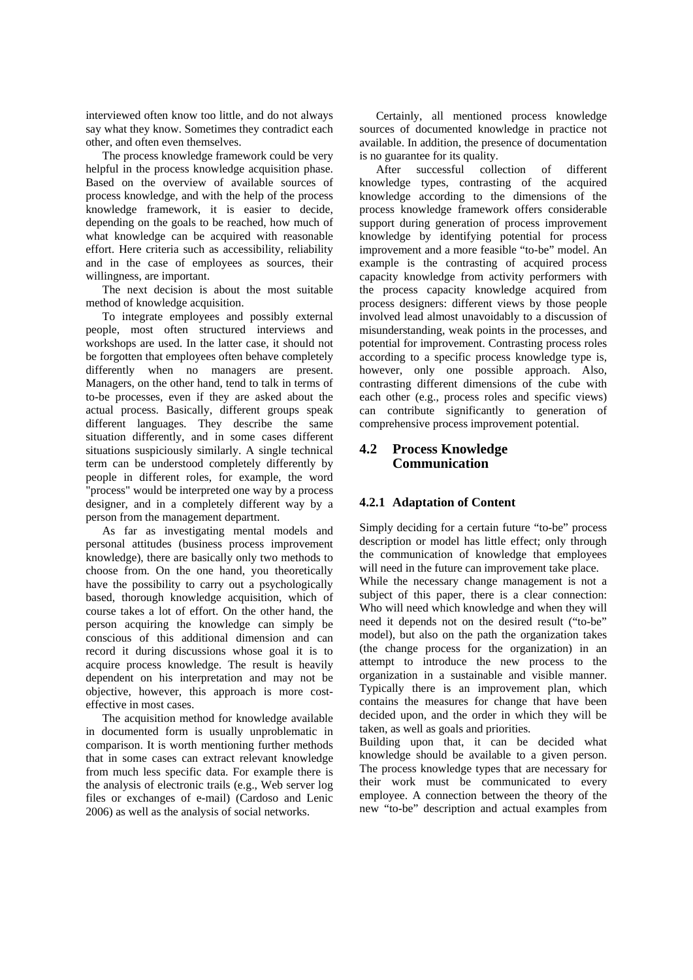interviewed often know too little, and do not always say what they know. Sometimes they contradict each other, and often even themselves.

The process knowledge framework could be very helpful in the process knowledge acquisition phase. Based on the overview of available sources of process knowledge, and with the help of the process knowledge framework, it is easier to decide, depending on the goals to be reached, how much of what knowledge can be acquired with reasonable effort. Here criteria such as accessibility, reliability and in the case of employees as sources, their willingness, are important.

The next decision is about the most suitable method of knowledge acquisition.

To integrate employees and possibly external people, most often structured interviews and workshops are used. In the latter case, it should not be forgotten that employees often behave completely differently when no managers are present. Managers, on the other hand, tend to talk in terms of to-be processes, even if they are asked about the actual process. Basically, different groups speak different languages. They describe the same situation differently, and in some cases different situations suspiciously similarly. A single technical term can be understood completely differently by people in different roles, for example, the word "process" would be interpreted one way by a process designer, and in a completely different way by a person from the management department.

As far as investigating mental models and personal attitudes (business process improvement knowledge), there are basically only two methods to choose from. On the one hand, you theoretically have the possibility to carry out a psychologically based, thorough knowledge acquisition, which of course takes a lot of effort. On the other hand, the person acquiring the knowledge can simply be conscious of this additional dimension and can record it during discussions whose goal it is to acquire process knowledge. The result is heavily dependent on his interpretation and may not be objective, however, this approach is more costeffective in most cases.

The acquisition method for knowledge available in documented form is usually unproblematic in comparison. It is worth mentioning further methods that in some cases can extract relevant knowledge from much less specific data. For example there is the analysis of electronic trails (e.g., Web server log files or exchanges of e-mail) (Cardoso and Lenic 2006) as well as the analysis of social networks.

Certainly, all mentioned process knowledge sources of documented knowledge in practice not available. In addition, the presence of documentation is no guarantee for its quality.

After successful collection of different knowledge types, contrasting of the acquired knowledge according to the dimensions of the process knowledge framework offers considerable support during generation of process improvement knowledge by identifying potential for process improvement and a more feasible "to-be" model. An example is the contrasting of acquired process capacity knowledge from activity performers with the process capacity knowledge acquired from process designers: different views by those people involved lead almost unavoidably to a discussion of misunderstanding, weak points in the processes, and potential for improvement. Contrasting process roles according to a specific process knowledge type is, however, only one possible approach. Also, contrasting different dimensions of the cube with each other (e.g., process roles and specific views) can contribute significantly to generation of comprehensive process improvement potential.

### **4.2 Process Knowledge Communication**

### **4.2.1 Adaptation of Content**

Simply deciding for a certain future "to-be" process description or model has little effect; only through the communication of knowledge that employees will need in the future can improvement take place. While the necessary change management is not a subject of this paper, there is a clear connection: Who will need which knowledge and when they will need it depends not on the desired result ("to-be" model), but also on the path the organization takes (the change process for the organization) in an attempt to introduce the new process to the organization in a sustainable and visible manner. Typically there is an improvement plan, which contains the measures for change that have been decided upon, and the order in which they will be taken, as well as goals and priorities.

Building upon that, it can be decided what knowledge should be available to a given person. The process knowledge types that are necessary for their work must be communicated to every employee. A connection between the theory of the new "to-be" description and actual examples from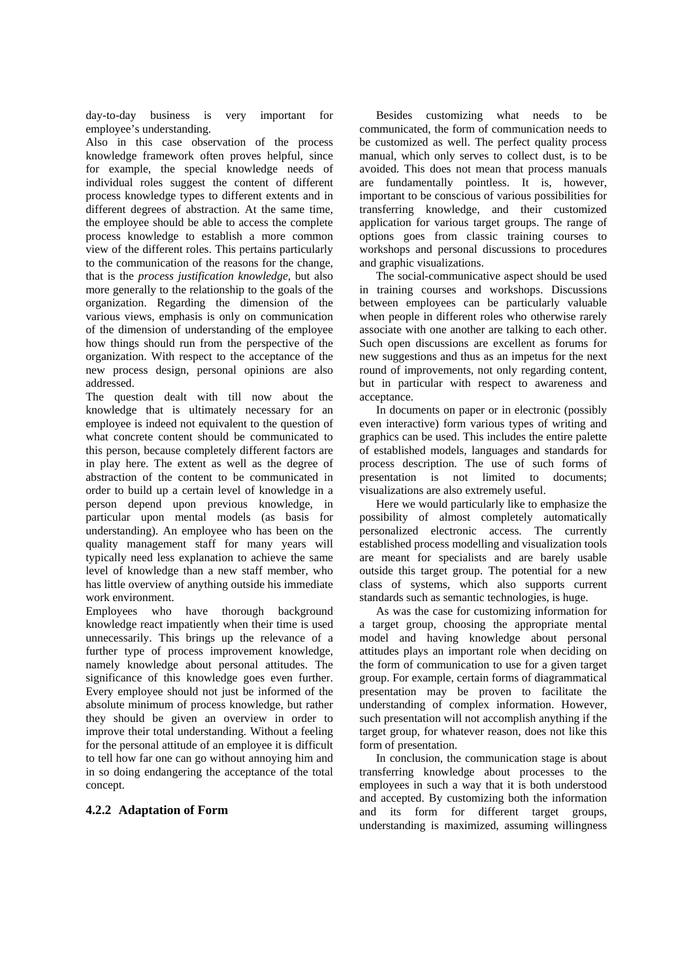day-to-day business is very important for employee's understanding.

Also in this case observation of the process knowledge framework often proves helpful, since for example, the special knowledge needs of individual roles suggest the content of different process knowledge types to different extents and in different degrees of abstraction. At the same time, the employee should be able to access the complete process knowledge to establish a more common view of the different roles. This pertains particularly to the communication of the reasons for the change, that is the *process justification knowledge*, but also more generally to the relationship to the goals of the organization. Regarding the dimension of the various views, emphasis is only on communication of the dimension of understanding of the employee how things should run from the perspective of the organization. With respect to the acceptance of the new process design, personal opinions are also addressed.

The question dealt with till now about the knowledge that is ultimately necessary for an employee is indeed not equivalent to the question of what concrete content should be communicated to this person, because completely different factors are in play here. The extent as well as the degree of abstraction of the content to be communicated in order to build up a certain level of knowledge in a person depend upon previous knowledge, in particular upon mental models (as basis for understanding). An employee who has been on the quality management staff for many years will typically need less explanation to achieve the same level of knowledge than a new staff member, who has little overview of anything outside his immediate work environment.

Employees who have thorough background knowledge react impatiently when their time is used unnecessarily. This brings up the relevance of a further type of process improvement knowledge, namely knowledge about personal attitudes. The significance of this knowledge goes even further. Every employee should not just be informed of the absolute minimum of process knowledge, but rather they should be given an overview in order to improve their total understanding. Without a feeling for the personal attitude of an employee it is difficult to tell how far one can go without annoying him and in so doing endangering the acceptance of the total concept.

#### **4.2.2 Adaptation of Form**

Besides customizing what needs to be communicated, the form of communication needs to be customized as well. The perfect quality process manual, which only serves to collect dust, is to be avoided. This does not mean that process manuals are fundamentally pointless. It is, however, important to be conscious of various possibilities for transferring knowledge, and their customized application for various target groups. The range of options goes from classic training courses to workshops and personal discussions to procedures and graphic visualizations.

The social-communicative aspect should be used in training courses and workshops. Discussions between employees can be particularly valuable when people in different roles who otherwise rarely associate with one another are talking to each other. Such open discussions are excellent as forums for new suggestions and thus as an impetus for the next round of improvements, not only regarding content, but in particular with respect to awareness and acceptance.

In documents on paper or in electronic (possibly even interactive) form various types of writing and graphics can be used. This includes the entire palette of established models, languages and standards for process description. The use of such forms of presentation is not limited to documents; visualizations are also extremely useful.

Here we would particularly like to emphasize the possibility of almost completely automatically personalized electronic access. The currently established process modelling and visualization tools are meant for specialists and are barely usable outside this target group. The potential for a new class of systems, which also supports current standards such as semantic technologies, is huge.

As was the case for customizing information for a target group, choosing the appropriate mental model and having knowledge about personal attitudes plays an important role when deciding on the form of communication to use for a given target group. For example, certain forms of diagrammatical presentation may be proven to facilitate the understanding of complex information. However, such presentation will not accomplish anything if the target group, for whatever reason, does not like this form of presentation.

In conclusion, the communication stage is about transferring knowledge about processes to the employees in such a way that it is both understood and accepted. By customizing both the information and its form for different target groups, understanding is maximized, assuming willingness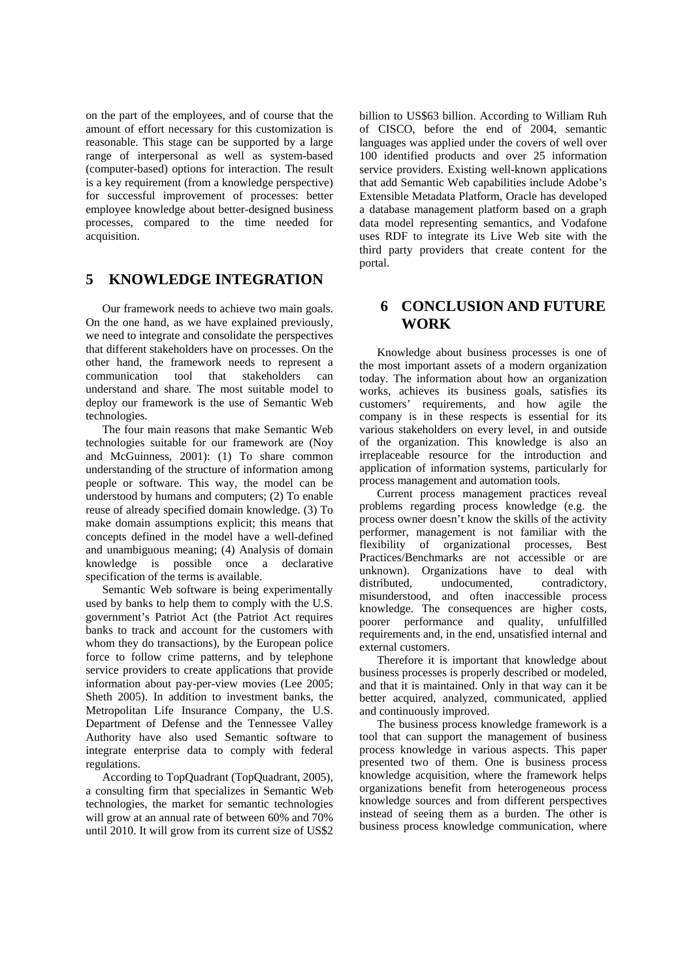on the part of the employees, and of course that the amount of effort necessary for this customization is reasonable. This stage can be supported by a large range of interpersonal as well as system-based (computer-based) options for interaction. The result is a key requirement (from a knowledge perspective) for successful improvement of processes: better employee knowledge about better-designed business processes, compared to the time needed for acquisition.

## **5 KNOWLEDGE INTEGRATION**

Our framework needs to achieve two main goals. On the one hand, as we have explained previously, we need to integrate and consolidate the perspectives that different stakeholders have on processes. On the other hand, the framework needs to represent a communication tool that stakeholders can understand and share. The most suitable model to deploy our framework is the use of Semantic Web technologies.

The four main reasons that make Semantic Web technologies suitable for our framework are (Noy and McGuinness, 2001): (1) To share common understanding of the structure of information among people or software. This way, the model can be understood by humans and computers; (2) To enable reuse of already specified domain knowledge. (3) To make domain assumptions explicit; this means that concepts defined in the model have a well-defined and unambiguous meaning; (4) Analysis of domain knowledge is possible once a declarative specification of the terms is available.

Semantic Web software is being experimentally used by banks to help them to comply with the U.S. government's Patriot Act (the Patriot Act requires banks to track and account for the customers with whom they do transactions), by the European police force to follow crime patterns, and by telephone service providers to create applications that provide information about pay-per-view movies (Lee 2005; Sheth 2005). In addition to investment banks, the Metropolitan Life Insurance Company, the U.S. Department of Defense and the Tennessee Valley Authority have also used Semantic software to integrate enterprise data to comply with federal regulations.

According to TopQuadrant (TopQuadrant, 2005), a consulting firm that specializes in Semantic Web technologies, the market for semantic technologies will grow at an annual rate of between 60% and 70% until 2010. It will grow from its current size of US\$2

billion to US\$63 billion. According to William Ruh of CISCO, before the end of 2004, semantic languages was applied under the covers of well over 100 identified products and over 25 information service providers. Existing well-known applications that add Semantic Web capabilities include Adobe's Extensible Metadata Platform, Oracle has developed a database management platform based on a graph data model representing semantics, and Vodafone uses RDF to integrate its Live Web site with the third party providers that create content for the portal.

## **6 CONCLUSION AND FUTURE WORK**

Knowledge about business processes is one of the most important assets of a modern organization today. The information about how an organization works, achieves its business goals, satisfies its customers' requirements, and how agile the company is in these respects is essential for its various stakeholders on every level, in and outside of the organization. This knowledge is also an irreplaceable resource for the introduction and application of information systems, particularly for process management and automation tools.

Current process management practices reveal problems regarding process knowledge (e.g. the process owner doesn't know the skills of the activity performer, management is not familiar with the flexibility of organizational processes, Best Practices/Benchmarks are not accessible or are unknown). Organizations have to deal with distributed, undocumented, contradictory, misunderstood, and often inaccessible process knowledge. The consequences are higher costs, poorer performance and quality, unfulfilled requirements and, in the end, unsatisfied internal and external customers.

Therefore it is important that knowledge about business processes is properly described or modeled, and that it is maintained. Only in that way can it be better acquired, analyzed, communicated, applied and continuously improved.

The business process knowledge framework is a tool that can support the management of business process knowledge in various aspects. This paper presented two of them. One is business process knowledge acquisition, where the framework helps organizations benefit from heterogeneous process knowledge sources and from different perspectives instead of seeing them as a burden. The other is business process knowledge communication, where